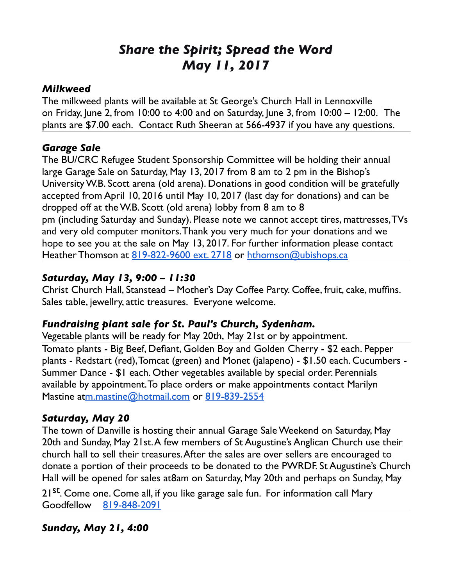# *Share the Spirit; Spread the Word May 11, 2017*

#### *Milkweed*

The milkweed plants will be available at St George's Church Hall in Lennoxville on Friday, June 2, from 10:00 to 4:00 and on Saturday, June 3, from 10:00 – 12:00. The plants are \$7.00 each. Contact Ruth Sheeran at 566-4937 if you have any questions.

#### *Garage Sale*

The BU/CRC Refugee Student Sponsorship Committee will be holding their annual large Garage Sale on Saturday, May 13, 2017 from 8 am to 2 pm in the Bishop's University W.B. Scott arena (old arena). Donations in good condition will be gratefully accepted from April 10, 2016 until May 10, 2017 (last day for donations) and can be dropped off at the W.B. Scott (old arena) lobby from 8 am to 8 pm (including Saturday and Sunday). Please note we cannot accept tires, mattresses, TVs and very old computer monitors. Thank you very much for your donations and we hope to see you at the sale on May 13, 2017. For further information please contact Heather Thomson at [819-822-9600 ext. 2718](tel:(819)%20822-9600) or [hthomson@ubishops.ca](mailto:hthomson@ubishops.ca)

### *Saturday, May 13, 9:00 – 11:30*

Christ Church Hall, Stanstead – Mother's Day Coffee Party. Coffee, fruit, cake, muffins. Sales table, jewellry, attic treasures. Everyone welcome.

#### *Fundraising plant sale for St. Paul's Church, Sydenham.*

Vegetable plants will be ready for May 20th, May 21st or by appointment. Tomato plants - Big Beef, Defiant, Golden Boy and Golden Cherry - \$2 each. Pepper plants - Redstart (red), Tomcat (green) and Monet (jalapeno) - \$1.50 each. Cucumbers - Summer Dance - \$1 each. Other vegetables available by special order. Perennials available by appointment. To place orders or make appointments contact Marilyn Mastine a[tm.mastine@hotmail.com](mailto:m.mastine@hotmail.com) or [819-839-2554](tel:(819)%20839-2554)

#### *Saturday, May 20*

The town of Danville is hosting their annual Garage Sale Weekend on Saturday, May 20th and Sunday, May 21st. A few members of St Augustine's Anglican Church use their church hall to sell their treasures. After the sales are over sellers are encouraged to donate a portion of their proceeds to be donated to the PWRDF. St Augustine's Church Hall will be opened for sales at8am on Saturday, May 20th and perhaps on Sunday, May 21<sup>st</sup>. Come one. Come all, if you like garage sale fun. For information call Mary Goodfellow [819-848-2091](tel:(819)%20848-2091)

#### *Sunday, May 21, 4:00*